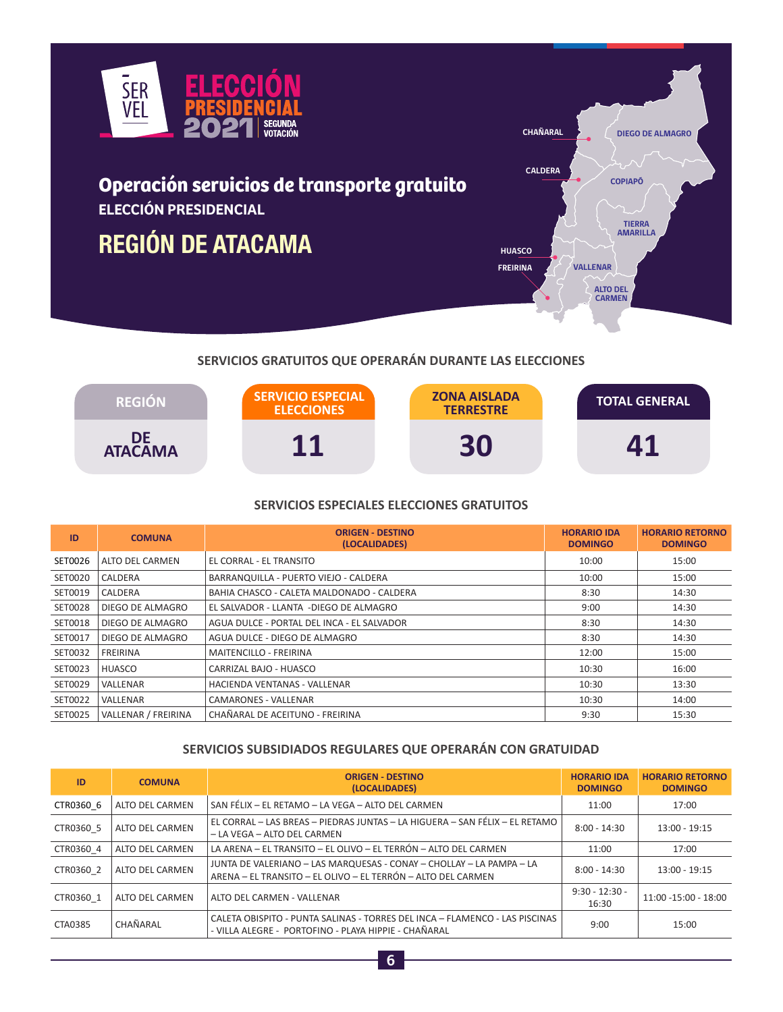

## **SERVICIOS GRATUITOS QUE OPERARÁN DURANTE LAS ELECCIONES**



## **SERVICIOS ESPECIALES ELECCIONES GRATUITOS**

| ID             | <b>COMUNA</b>       | <b>ORIGEN - DESTINO</b><br>(LOCALIDADES)   | <b>HORARIO IDA</b><br><b>DOMINGO</b> | <b>HORARIO RETORNO</b><br><b>DOMINGO</b> |
|----------------|---------------------|--------------------------------------------|--------------------------------------|------------------------------------------|
| SET0026        | ALTO DEL CARMEN     | EL CORRAL - EL TRANSITO                    | 10:00                                | 15:00                                    |
| SET0020        | CALDERA             | BARRANQUILLA - PUERTO VIEJO - CALDERA      | 10:00                                | 15:00                                    |
| SET0019        | CALDERA             | BAHIA CHASCO - CALETA MALDONADO - CALDERA  | 8:30                                 | 14:30                                    |
| <b>SET0028</b> | DIEGO DE ALMAGRO    | EL SALVADOR - LLANTA -DIEGO DE ALMAGRO     | 9:00                                 | 14:30                                    |
| SET0018        | DIEGO DE ALMAGRO    | AGUA DULCE - PORTAL DEL INCA - EL SALVADOR | 8:30                                 | 14:30                                    |
| SET0017        | DIEGO DE ALMAGRO    | AGUA DULCE - DIEGO DE ALMAGRO              | 8:30                                 | 14:30                                    |
| SET0032        | <b>FREIRINA</b>     | <b>MAITENCILLO - FREIRINA</b>              | 12:00                                | 15:00                                    |
| SET0023        | <b>HUASCO</b>       | CARRIZAL BAJO - HUASCO                     | 10:30                                | 16:00                                    |
| SET0029        | VALLENAR            | <b>HACIENDA VENTANAS - VALLENAR</b>        | 10:30                                | 13:30                                    |
| SET0022        | VALLENAR            | CAMARONES - VALLENAR                       | 10:30                                | 14:00                                    |
| SET0025        | VALLENAR / FREIRINA | CHAÑARAL DE ACEITUNO - FREIRINA            | 9:30                                 | 15:30                                    |

## **SERVICIOS SUBSIDIADOS REGULARES QUE OPERARÁN CON GRATUIDAD**

| ID        | <b>COMUNA</b>          | <b>ORIGEN - DESTINO</b><br>(LOCALIDADES)                                                                                             | <b>HORARIO IDA</b><br><b>DOMINGO</b> | <b>HORARIO RETORNO</b><br><b>DOMINGO</b> |
|-----------|------------------------|--------------------------------------------------------------------------------------------------------------------------------------|--------------------------------------|------------------------------------------|
| CTR0360 6 | ALTO DEL CARMEN        | SAN FÉLIX - EL RETAMO - LA VEGA - ALTO DEL CARMEN                                                                                    | 11:00                                | 17:00                                    |
| CTR0360 5 | ALTO DEL CARMEN        | EL CORRAL - LAS BREAS - PIEDRAS JUNTAS - LA HIGUERA - SAN FÉLIX - EL RETAMO<br>- LA VEGA - ALTO DEL CARMEN                           | $8:00 - 14:30$                       | $13:00 - 19:15$                          |
| CTR0360 4 | ALTO DEL CARMEN        | LA ARENA - EL TRANSITO - EL OLIVO - EL TERRÓN - ALTO DEL CARMEN                                                                      | 11:00                                | 17:00                                    |
| CTR0360 2 | <b>ALTO DEL CARMEN</b> | JUNTA DE VALERIANO - LAS MARQUESAS - CONAY - CHOLLAY - LA PAMPA - LA<br>ARENA - EL TRANSITO - EL OLIVO - EL TERRÓN - ALTO DEL CARMEN | $8:00 - 14:30$                       | $13:00 - 19:15$                          |
| CTR0360 1 | ALTO DEL CARMEN        | ALTO DEL CARMEN - VALLENAR                                                                                                           | $9:30 - 12:30 -$<br>16:30            | 11:00 -15:00 - 18:00                     |
| CTA0385   | CHAÑARAL               | CALETA OBISPITO - PUNTA SALINAS - TORRES DEL INCA - FLAMENCO - LAS PISCINAS<br>- VILLA ALEGRE - PORTOFINO - PLAYA HIPPIE - CHAÑARAL  | 9:00                                 | 15:00                                    |